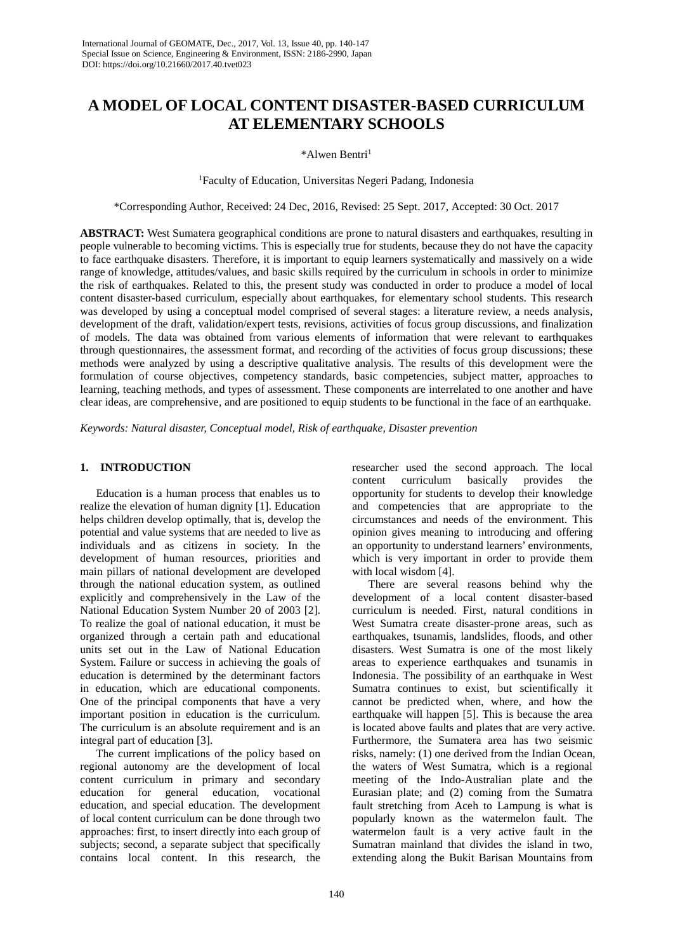# **A MODEL OF LOCAL CONTENT DISASTER-BASED CURRICULUM AT ELEMENTARY SCHOOLS**

\*Alwen Bentri<sup>1</sup>

1 Faculty of Education, Universitas Negeri Padang, Indonesia

\*Corresponding Author, Received: 24 Dec, 2016, Revised: 25 Sept. 2017, Accepted: 30 Oct. 2017

**ABSTRACT:** West Sumatera geographical conditions are prone to natural disasters and earthquakes, resulting in people vulnerable to becoming victims. This is especially true for students, because they do not have the capacity to face earthquake disasters. Therefore, it is important to equip learners systematically and massively on a wide range of knowledge, attitudes/values, and basic skills required by the curriculum in schools in order to minimize the risk of earthquakes. Related to this, the present study was conducted in order to produce a model of local content disaster-based curriculum, especially about earthquakes, for elementary school students. This research was developed by using a conceptual model comprised of several stages: a literature review, a needs analysis, development of the draft, validation/expert tests, revisions, activities of focus group discussions, and finalization of models. The data was obtained from various elements of information that were relevant to earthquakes through questionnaires, the assessment format, and recording of the activities of focus group discussions; these methods were analyzed by using a descriptive qualitative analysis. The results of this development were the formulation of course objectives, competency standards, basic competencies, subject matter, approaches to learning, teaching methods, and types of assessment. These components are interrelated to one another and have clear ideas, are comprehensive, and are positioned to equip students to be functional in the face of an earthquake.

*Keywords: Natural disaster, Conceptual model, Risk of earthquake, Disaster prevention*

## **1. INTRODUCTION**

Education is a human process that enables us to realize the elevation of human dignity [1]. Education helps children develop optimally, that is, develop the potential and value systems that are needed to live as individuals and as citizens in society. In the development of human resources, priorities and main pillars of national development are developed through the national education system, as outlined explicitly and comprehensively in the Law of the National Education System Number 20 of 2003 [2]. To realize the goal of national education, it must be organized through a certain path and educational units set out in the Law of National Education System. Failure or success in achieving the goals of education is determined by the determinant factors in education, which are educational components. One of the principal components that have a very important position in education is the curriculum. The curriculum is an absolute requirement and is an integral part of education [3].

The current implications of the policy based on regional autonomy are the development of local content curriculum in primary and secondary education for general education, vocational education, and special education. The development of local content curriculum can be done through two approaches: first, to insert directly into each group of subjects; second, a separate subject that specifically contains local content. In this research, the researcher used the second approach. The local content curriculum basically provides the opportunity for students to develop their knowledge and competencies that are appropriate to the circumstances and needs of the environment. This opinion gives meaning to introducing and offering an opportunity to understand learners' environments, which is very important in order to provide them with local wisdom [4].

There are several reasons behind why the development of a local content disaster-based curriculum is needed. First, natural conditions in West Sumatra create disaster-prone areas, such as earthquakes, tsunamis, landslides, floods, and other disasters. West Sumatra is one of the most likely areas to experience earthquakes and tsunamis in Indonesia. The possibility of an earthquake in West Sumatra continues to exist, but scientifically it cannot be predicted when, where, and how the earthquake will happen [5]. This is because the area is located above faults and plates that are very active. Furthermore, the Sumatera area has two seismic risks, namely: (1) one derived from the Indian Ocean, the waters of West Sumatra, which is a regional meeting of the Indo-Australian plate and the Eurasian plate; and (2) coming from the Sumatra fault stretching from Aceh to Lampung is what is popularly known as the watermelon fault. The watermelon fault is a very active fault in the Sumatran mainland that divides the island in two, extending along the Bukit Barisan Mountains from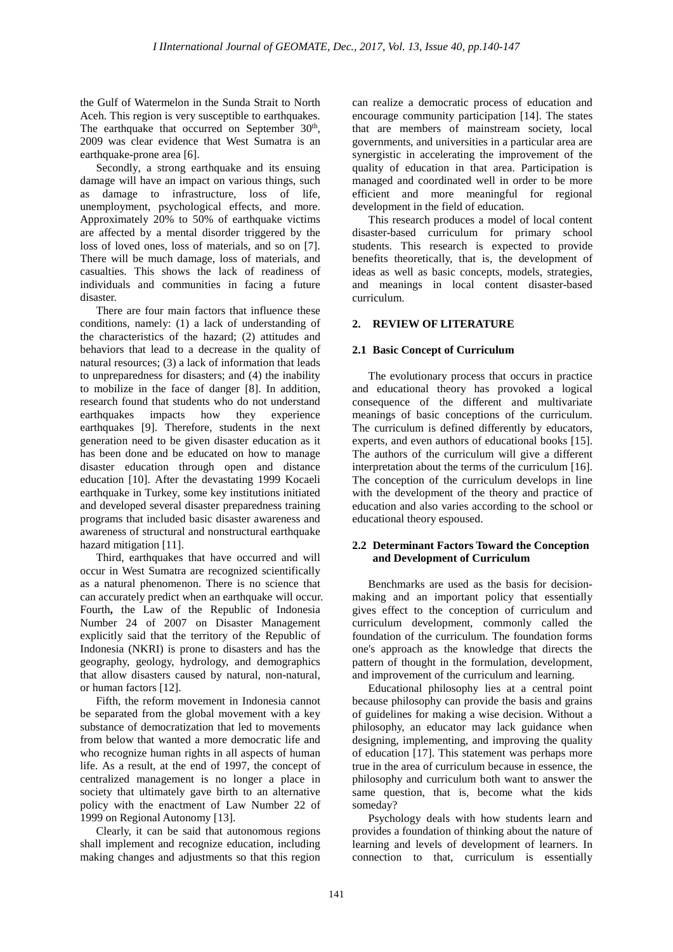the Gulf of Watermelon in the Sunda Strait to North Aceh. This region is very susceptible to earthquakes. The earthquake that occurred on September 30<sup>th</sup>, 2009 was clear evidence that West Sumatra is an earthquake-prone area [6].

Secondly*,* a strong earthquake and its ensuing damage will have an impact on various things, such as damage to infrastructure, loss of life, unemployment, psychological effects, and more. Approximately 20% to 50% of earthquake victims are affected by a mental disorder triggered by the loss of loved ones, loss of materials, and so on [7]. There will be much damage, loss of materials, and casualties. This shows the lack of readiness of individuals and communities in facing a future disaster.

There are four main factors that influence these conditions, namely: (1) a lack of understanding of the characteristics of the hazard; (2) attitudes and behaviors that lead to a decrease in the quality of natural resources; (3) a lack of information that leads to unpreparedness for disasters; and (4) the inability to mobilize in the face of danger [8]. In addition, research found that students who do not understand<br>earthquakes impacts how they experience  $earthquakes$  impacts how they earthquakes [9]. Therefore, students in the next generation need to be given disaster education as it has been done and be educated on how to manage disaster education through open and distance education [10]. After the devastating 1999 Kocaeli earthquake in Turkey, some key institutions initiated and developed several disaster preparedness training programs that included basic disaster awareness and awareness of structural and nonstructural earthquake hazard mitigation [11].

Third*,* earthquakes that have occurred and will occur in West Sumatra are recognized scientifically as a natural phenomenon. There is no science that can accurately predict when an earthquake will occur. Fourth**,** the Law of the Republic of Indonesia Number 24 of 2007 on Disaster Management explicitly said that the territory of the Republic of Indonesia (NKRI) is prone to disasters and has the geography, geology, hydrology, and demographics that allow disasters caused by natural, non-natural, or human factors [12].

Fifth, the reform movement in Indonesia cannot be separated from the global movement with a key substance of democratization that led to movements from below that wanted a more democratic life and who recognize human rights in all aspects of human life. As a result, at the end of 1997, the concept of centralized management is no longer a place in society that ultimately gave birth to an alternative policy with the enactment of Law Number 22 of 1999 on Regional Autonomy [13].

Clearly, it can be said that autonomous regions shall implement and recognize education, including making changes and adjustments so that this region

can realize a democratic process of education and encourage community participation [14]. The states that are members of mainstream society, local governments, and universities in a particular area are synergistic in accelerating the improvement of the quality of education in that area. Participation is managed and coordinated well in order to be more efficient and more meaningful for regional development in the field of education.

This research produces a model of local content disaster-based curriculum for primary school students. This research is expected to provide benefits theoretically, that is, the development of ideas as well as basic concepts, models, strategies, and meanings in local content disaster-based curriculum.

## **2. REVIEW OF LITERATURE**

## **2.1 Basic Concept of Curriculum**

The evolutionary process that occurs in practice and educational theory has provoked a logical consequence of the different and multivariate meanings of basic conceptions of the curriculum. The curriculum is defined differently by educators, experts, and even authors of educational books [15]. The authors of the curriculum will give a different interpretation about the terms of the curriculum [16]. The conception of the curriculum develops in line with the development of the theory and practice of education and also varies according to the school or educational theory espoused.

#### **2.2 Determinant Factors Toward the Conception and Development of Curriculum**

Benchmarks are used as the basis for decisionmaking and an important policy that essentially gives effect to the conception of curriculum and curriculum development, commonly called the foundation of the curriculum. The foundation forms one's approach as the knowledge that directs the pattern of thought in the formulation, development, and improvement of the curriculum and learning.

Educational philosophy lies at a central point because philosophy can provide the basis and grains of guidelines for making a wise decision. Without a philosophy, an educator may lack guidance when designing, implementing, and improving the quality of education [17]. This statement was perhaps more true in the area of curriculum because in essence, the philosophy and curriculum both want to answer the same question, that is, become what the kids someday?

Psychology deals with how students learn and provides a foundation of thinking about the nature of learning and levels of development of learners. In connection to that, curriculum is essentially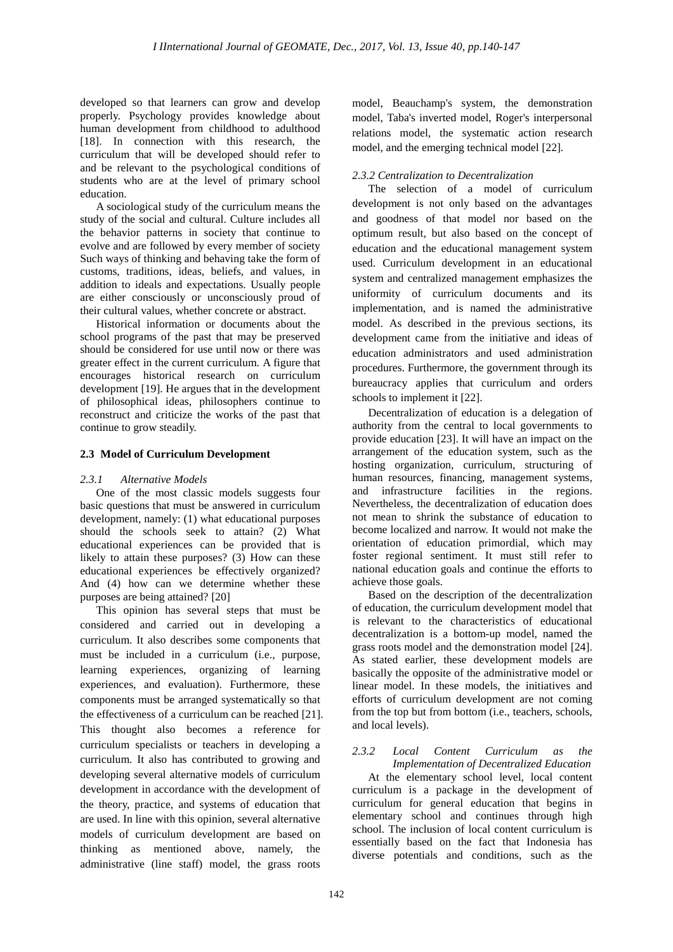developed so that learners can grow and develop properly. Psychology provides knowledge about human development from childhood to adulthood [18]. In connection with this research, the curriculum that will be developed should refer to and be relevant to the psychological conditions of students who are at the level of primary school education.

A sociological study of the curriculum means the study of the social and cultural. Culture includes all the behavior patterns in society that continue to evolve and are followed by every member of society Such ways of thinking and behaving take the form of customs, traditions, ideas, beliefs, and values, in addition to ideals and expectations. Usually people are either consciously or unconsciously proud of their cultural values, whether concrete or abstract.

Historical information or documents about the school programs of the past that may be preserved should be considered for use until now or there was greater effect in the current curriculum. A figure that encourages historical research on curriculum development [19]. He argues that in the development of philosophical ideas, philosophers continue to reconstruct and criticize the works of the past that continue to grow steadily.

## **2.3 Model of Curriculum Development**

## *2.3.1 Alternative Models*

One of the most classic models suggests four basic questions that must be answered in curriculum development, namely: (1) what educational purposes should the schools seek to attain? (2) What educational experiences can be provided that is likely to attain these purposes? (3) How can these educational experiences be effectively organized? And (4) how can we determine whether these purposes are being attained? [20]

This opinion has several steps that must be considered and carried out in developing a curriculum. It also describes some components that must be included in a curriculum (i.e., purpose, learning experiences, organizing of learning experiences, and evaluation). Furthermore, these components must be arranged systematically so that the effectiveness of a curriculum can be reached [21]. This thought also becomes a reference for curriculum specialists or teachers in developing a curriculum. It also has contributed to growing and developing several alternative models of curriculum development in accordance with the development of the theory, practice, and systems of education that are used. In line with this opinion, several alternative models of curriculum development are based on thinking as mentioned above, namely, the administrative (line staff) model, the grass roots

model, Beauchamp's system, the demonstration model, Taba's inverted model, Roger's interpersonal relations model, the systematic action research model, and the emerging technical model [22]*.*

## *2.3.2 Centralization to Decentralization*

The selection of a model of curriculum development is not only based on the advantages and goodness of that model nor based on the optimum result, but also based on the concept of education and the educational management system used. Curriculum development in an educational system and centralized management emphasizes the uniformity of curriculum documents and its implementation, and is named the administrative model. As described in the previous sections, its development came from the initiative and ideas of education administrators and used administration procedures. Furthermore, the government through its bureaucracy applies that curriculum and orders schools to implement it [22].

Decentralization of education is a delegation of authority from the central to local governments to provide education [23]. It will have an impact on the arrangement of the education system, such as the hosting organization, curriculum, structuring of human resources, financing, management systems, and infrastructure facilities in the regions. Nevertheless, the decentralization of education does not mean to shrink the substance of education to become localized and narrow. It would not make the orientation of education primordial, which may foster regional sentiment. It must still refer to national education goals and continue the efforts to achieve those goals.

Based on the description of the decentralization of education, the curriculum development model that is relevant to the characteristics of educational decentralization is a bottom-up model, named the grass roots model and the demonstration model [24]. As stated earlier, these development models are basically the opposite of the administrative model or linear model. In these models, the initiatives and efforts of curriculum development are not coming from the top but from bottom (i.e., teachers, schools, and local levels).

#### *2.3.2 Local Content Curriculum as the Implementation of Decentralized Education*

At the elementary school level, local content curriculum is a package in the development of curriculum for general education that begins in elementary school and continues through high school. The inclusion of local content curriculum is essentially based on the fact that Indonesia has diverse potentials and conditions, such as the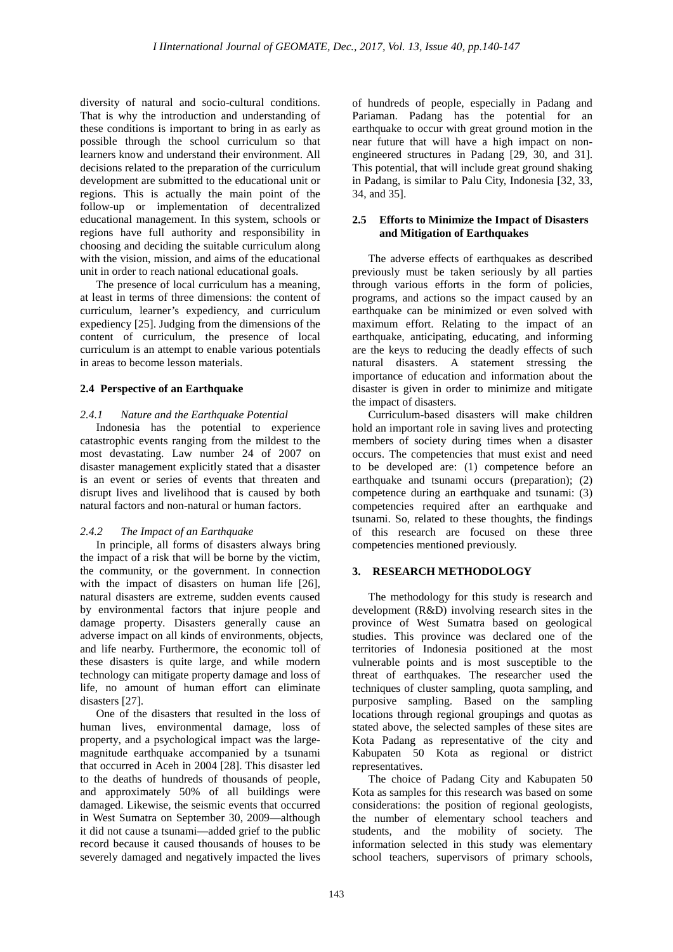diversity of natural and socio-cultural conditions. That is why the introduction and understanding of these conditions is important to bring in as early as possible through the school curriculum so that learners know and understand their environment. All decisions related to the preparation of the curriculum development are submitted to the educational unit or regions. This is actually the main point of the follow-up or implementation of decentralized educational management. In this system, schools or regions have full authority and responsibility in choosing and deciding the suitable curriculum along with the vision, mission, and aims of the educational unit in order to reach national educational goals.

The presence of local curriculum has a meaning, at least in terms of three dimensions: the content of curriculum, learner's expediency, and curriculum expediency [25]. Judging from the dimensions of the content of curriculum, the presence of local curriculum is an attempt to enable various potentials in areas to become lesson materials.

## **2.4 Perspective of an Earthquake**

## *2.4.1 Nature and the Earthquake Potential*

Indonesia has the potential to experience catastrophic events ranging from the mildest to the most devastating. Law number 24 of 2007 on disaster management explicitly stated that a disaster is an event or series of events that threaten and disrupt lives and livelihood that is caused by both natural factors and non-natural or human factors.

## *2.4.2 The Impact of an Earthquake*

In principle, all forms of disasters always bring the impact of a risk that will be borne by the victim, the community, or the government. In connection with the impact of disasters on human life [26], natural disasters are extreme, sudden events caused by environmental factors that injure people and damage property. Disasters generally cause an adverse impact on all kinds of environments, objects, and life nearby. Furthermore, the economic toll of these disasters is quite large, and while modern technology can mitigate property damage and loss of life, no amount of human effort can eliminate disasters [27].

One of the disasters that resulted in the loss of human lives, environmental damage, loss of property, and a psychological impact was the largemagnitude earthquake accompanied by a tsunami that occurred in Aceh in 2004 [28]. This disaster led to the deaths of hundreds of thousands of people, and approximately 50% of all buildings were damaged. Likewise, the seismic events that occurred in West Sumatra on September 30, 2009—although it did not cause a tsunami—added grief to the public record because it caused thousands of houses to be severely damaged and negatively impacted the lives

of hundreds of people, especially in Padang and Pariaman. Padang has the potential for an earthquake to occur with great ground motion in the near future that will have a high impact on nonengineered structures in Padang [29, 30, and 31]. This potential, that will include great ground shaking in Padang, is similar to Palu City, Indonesia [32, 33, 34, and 35].

#### **2.5 Efforts to Minimize the Impact of Disasters and Mitigation of Earthquakes**

The adverse effects of earthquakes as described previously must be taken seriously by all parties through various efforts in the form of policies, programs, and actions so the impact caused by an earthquake can be minimized or even solved with maximum effort. Relating to the impact of an earthquake, anticipating, educating, and informing are the keys to reducing the deadly effects of such natural disasters. A statement stressing the importance of education and information about the disaster is given in order to minimize and mitigate the impact of disasters.

Curriculum-based disasters will make children hold an important role in saving lives and protecting members of society during times when a disaster occurs. The competencies that must exist and need to be developed are: (1) competence before an earthquake and tsunami occurs (preparation); (2) competence during an earthquake and tsunami: (3) competencies required after an earthquake and tsunami. So, related to these thoughts, the findings of this research are focused on these three competencies mentioned previously.

## **3. RESEARCH METHODOLOGY**

The methodology for this study is research and development (R&D) involving research sites in the province of West Sumatra based on geological studies. This province was declared one of the territories of Indonesia positioned at the most vulnerable points and is most susceptible to the threat of earthquakes. The researcher used the techniques of cluster sampling, quota sampling, and purposive sampling. Based on the sampling locations through regional groupings and quotas as stated above, the selected samples of these sites are Kota Padang as representative of the city and Kabupaten 50 Kota as regional or district representatives.

The choice of Padang City and Kabupaten 50 Kota as samples for this research was based on some considerations: the position of regional geologists, the number of elementary school teachers and students, and the mobility of society. The information selected in this study was elementary school teachers, supervisors of primary schools,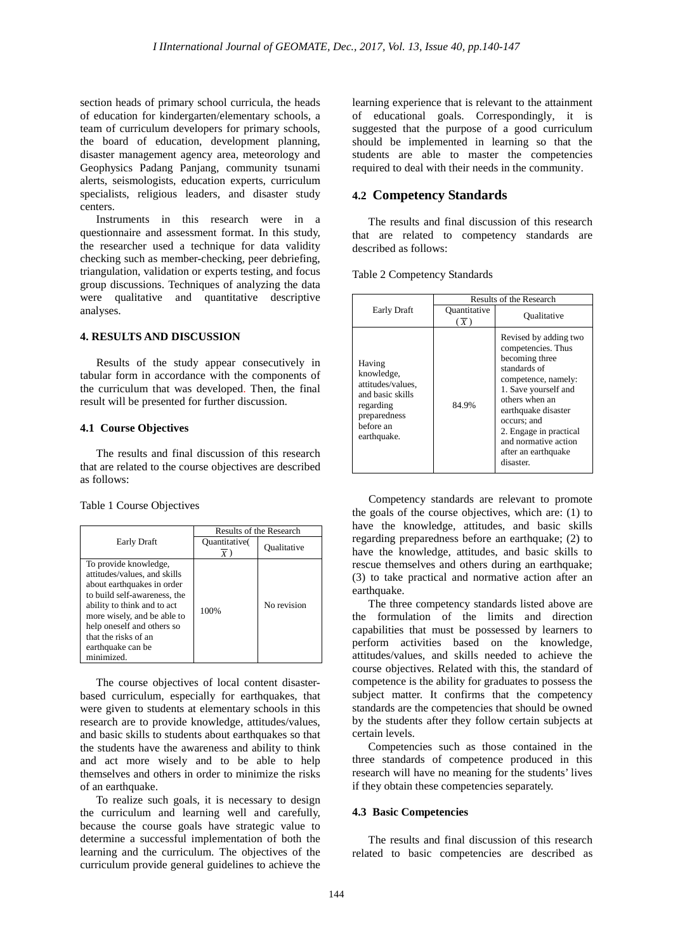section heads of primary school curricula, the heads of education for kindergarten/elementary schools, a team of curriculum developers for primary schools, the board of education, development planning, disaster management agency area, meteorology and Geophysics Padang Panjang, community tsunami alerts, seismologists, education experts, curriculum specialists, religious leaders, and disaster study centers.

Instruments in this research were in a questionnaire and assessment format. In this study, the researcher used a technique for data validity checking such as member-checking, peer debriefing, triangulation, validation or experts testing, and focus group discussions. Techniques of analyzing the data were qualitative and quantitative descriptive analyses.

#### **4. RESULTS AND DISCUSSION**

Results of the study appear consecutively in tabular form in accordance with the components of the curriculum that was developed. Then, the final result will be presented for further discussion.

#### **4.1 Course Objectives**

The results and final discussion of this research that are related to the course objectives are described as follows:

Table 1 Course Objectives

|                                                                                                                                                                                                                                                                            | <b>Results of the Research</b> |             |
|----------------------------------------------------------------------------------------------------------------------------------------------------------------------------------------------------------------------------------------------------------------------------|--------------------------------|-------------|
| Early Draft                                                                                                                                                                                                                                                                | Quantitative(<br>Y             | Oualitative |
| To provide knowledge,<br>attitudes/values, and skills<br>about earthquakes in order<br>to build self-awareness, the<br>ability to think and to act<br>more wisely, and be able to<br>help oneself and others so<br>that the risks of an<br>earthquake can be<br>minimized. | 100%                           | No revision |

The course objectives of local content disasterbased curriculum, especially for earthquakes, that were given to students at elementary schools in this research are to provide knowledge, attitudes/values, and basic skills to students about earthquakes so that the students have the awareness and ability to think and act more wisely and to be able to help themselves and others in order to minimize the risks of an earthquake.

To realize such goals, it is necessary to design the curriculum and learning well and carefully, because the course goals have strategic value to determine a successful implementation of both the learning and the curriculum. The objectives of the curriculum provide general guidelines to achieve the learning experience that is relevant to the attainment of educational goals. Correspondingly, it is suggested that the purpose of a good curriculum should be implemented in learning so that the students are able to master the competencies required to deal with their needs in the community.

## **4.2 Competency Standards**

The results and final discussion of this research that are related to competency standards are described as follows:

Table 2 Competency Standards

|                                                                                                                        | Results of the Research |                                                                                                                                                                                                                                                                            |
|------------------------------------------------------------------------------------------------------------------------|-------------------------|----------------------------------------------------------------------------------------------------------------------------------------------------------------------------------------------------------------------------------------------------------------------------|
| Early Draft                                                                                                            | Quantitative<br>(x)     | Oualitative                                                                                                                                                                                                                                                                |
| Having<br>knowledge,<br>attitudes/values.<br>and basic skills<br>regarding<br>preparedness<br>before an<br>earthquake. | 84.9%                   | Revised by adding two<br>competencies. Thus<br>becoming three<br>standards of<br>competence, namely:<br>1. Save yourself and<br>others when an<br>earthquake disaster<br>occurs; and<br>2. Engage in practical<br>and normative action<br>after an earthquake<br>disaster. |

Competency standards are relevant to promote the goals of the course objectives, which are: (1) to have the knowledge, attitudes, and basic skills regarding preparedness before an earthquake; (2) to have the knowledge, attitudes, and basic skills to rescue themselves and others during an earthquake: (3) to take practical and normative action after an earthquake.

The three competency standards listed above are the formulation of the limits and direction capabilities that must be possessed by learners to perform activities based on the knowledge, attitudes/values, and skills needed to achieve the course objectives. Related with this, the standard of competence is the ability for graduates to possess the subject matter. It confirms that the competency standards are the competencies that should be owned by the students after they follow certain subjects at certain levels.

Competencies such as those contained in the three standards of competence produced in this research will have no meaning for the students' lives if they obtain these competencies separately.

#### **4.3 Basic Competencies**

The results and final discussion of this research related to basic competencies are described as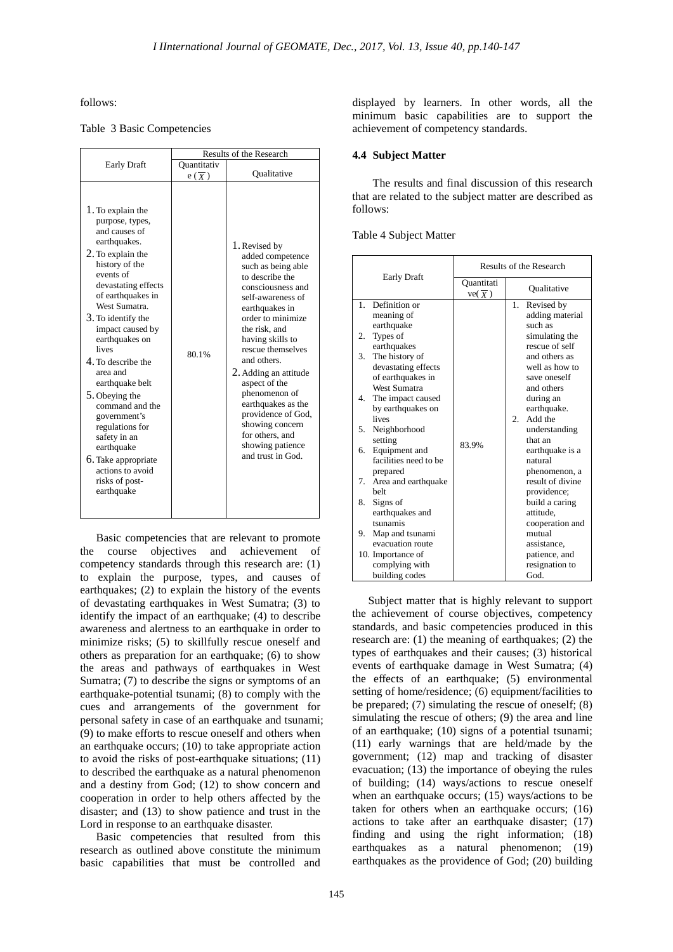follows:

## Table 3 Basic Competencies

|                                                                                                                                                                                                                                                                                                                                                                                                                                                                                                   | Results of the Research          |                                                                                                                                                                                                                                                                                                                                                                                                                            |
|---------------------------------------------------------------------------------------------------------------------------------------------------------------------------------------------------------------------------------------------------------------------------------------------------------------------------------------------------------------------------------------------------------------------------------------------------------------------------------------------------|----------------------------------|----------------------------------------------------------------------------------------------------------------------------------------------------------------------------------------------------------------------------------------------------------------------------------------------------------------------------------------------------------------------------------------------------------------------------|
| <b>Early Draft</b>                                                                                                                                                                                                                                                                                                                                                                                                                                                                                | Ouantitativ<br>$e(\overline{X})$ | Oualitative                                                                                                                                                                                                                                                                                                                                                                                                                |
| 1. To explain the<br>purpose, types,<br>and causes of<br>earthquakes.<br>2. To explain the<br>history of the<br>events of<br>devastating effects<br>of earthquakes in<br>West Sumatra.<br>3. To identify the<br>impact caused by<br>earthquakes on<br>lives<br>4. To describe the<br>area and<br>earthquake belt<br>5. Obeying the<br>command and the<br>government's<br>regulations for<br>safety in an<br>earthquake<br>6. Take appropriate<br>actions to avoid<br>risks of post-<br>earthquake | 80.1%                            | 1. Revised by<br>added competence<br>such as being able<br>to describe the<br>consciousness and<br>self-awareness of<br>earthquakes in<br>order to minimize<br>the risk, and<br>having skills to<br>rescue themselves<br>and others.<br>2. Adding an attitude<br>aspect of the<br>phenomenon of<br>earthquakes as the<br>providence of God,<br>showing concern<br>for others, and<br>showing patience<br>and trust in God. |

Basic competencies that are relevant to promote the course objectives and achievement of competency standards through this research are: (1) to explain the purpose, types, and causes of earthquakes; (2) to explain the history of the events of devastating earthquakes in West Sumatra; (3) to identify the impact of an earthquake; (4) to describe awareness and alertness to an earthquake in order to minimize risks; (5) to skillfully rescue oneself and others as preparation for an earthquake; (6) to show the areas and pathways of earthquakes in West Sumatra; (7) to describe the signs or symptoms of an earthquake-potential tsunami; (8) to comply with the cues and arrangements of the government for personal safety in case of an earthquake and tsunami; (9) to make efforts to rescue oneself and others when an earthquake occurs; (10) to take appropriate action to avoid the risks of post-earthquake situations; (11) to described the earthquake as a natural phenomenon and a destiny from God; (12) to show concern and cooperation in order to help others affected by the disaster; and (13) to show patience and trust in the Lord in response to an earthquake disaster.

Basic competencies that resulted from this research as outlined above constitute the minimum basic capabilities that must be controlled and displayed by learners. In other words, all the minimum basic capabilities are to support the achievement of competency standards.

#### **4.4 Subject Matter**

The results and final discussion of this research that are related to the subject matter are described as follows:

Table 4 Subject Matter

|                                                                                                                                                                                                                                                                                                                                                                                                                                                                                                                              | Results of the Research          |                                                                                                                                                                                                                                                                                                                                                                                                                                                    |
|------------------------------------------------------------------------------------------------------------------------------------------------------------------------------------------------------------------------------------------------------------------------------------------------------------------------------------------------------------------------------------------------------------------------------------------------------------------------------------------------------------------------------|----------------------------------|----------------------------------------------------------------------------------------------------------------------------------------------------------------------------------------------------------------------------------------------------------------------------------------------------------------------------------------------------------------------------------------------------------------------------------------------------|
| <b>Early Draft</b>                                                                                                                                                                                                                                                                                                                                                                                                                                                                                                           | Ouantitati<br>$ve(\overline{X})$ | Qualitative                                                                                                                                                                                                                                                                                                                                                                                                                                        |
| Definition or<br>1<br>meaning of<br>earthquake<br>Types of<br>2.<br>earthquakes<br>3.<br>The history of<br>devastating effects<br>of earthquakes in<br><b>West Sumatra</b><br>4.<br>The impact caused<br>by earthquakes on<br>lives<br>Neighborhood<br>5.<br>setting<br>Equipment and<br>6.<br>facilities need to be<br>prepared<br>7.<br>Area and earthquake<br>helt<br>8.<br>Signs of<br>earthquakes and<br>tsunamis<br>Map and tsunami<br>9.<br>evacuation route<br>10. Importance of<br>complying with<br>building codes | 83.9%                            | 1.<br>Revised by<br>adding material<br>such as<br>simulating the<br>rescue of self<br>and others as<br>well as how to<br>save oneself<br>and others<br>during an<br>earthquake.<br>$\overline{2}$ .<br>Add the<br>understanding<br>that an<br>earthquake is a<br>natural<br>phenomenon, a<br>result of divine<br>providence;<br>build a caring<br>attitude.<br>cooperation and<br>mutual<br>assistance.<br>patience, and<br>resignation to<br>God. |

Subject matter that is highly relevant to support the achievement of course objectives, competency standards, and basic competencies produced in this research are: (1) the meaning of earthquakes; (2) the types of earthquakes and their causes; (3) historical events of earthquake damage in West Sumatra; (4) the effects of an earthquake; (5) environmental setting of home/residence; (6) equipment/facilities to be prepared; (7) simulating the rescue of oneself; (8) simulating the rescue of others; (9) the area and line of an earthquake; (10) signs of a potential tsunami; (11) early warnings that are held/made by the government; (12) map and tracking of disaster evacuation; (13) the importance of obeying the rules of building; (14) ways/actions to rescue oneself when an earthquake occurs; (15) ways/actions to be taken for others when an earthquake occurs; (16) actions to take after an earthquake disaster; (17) finding and using the right information; (18) earthquakes as a natural phenomenon; (19) earthquakes as the providence of God; (20) building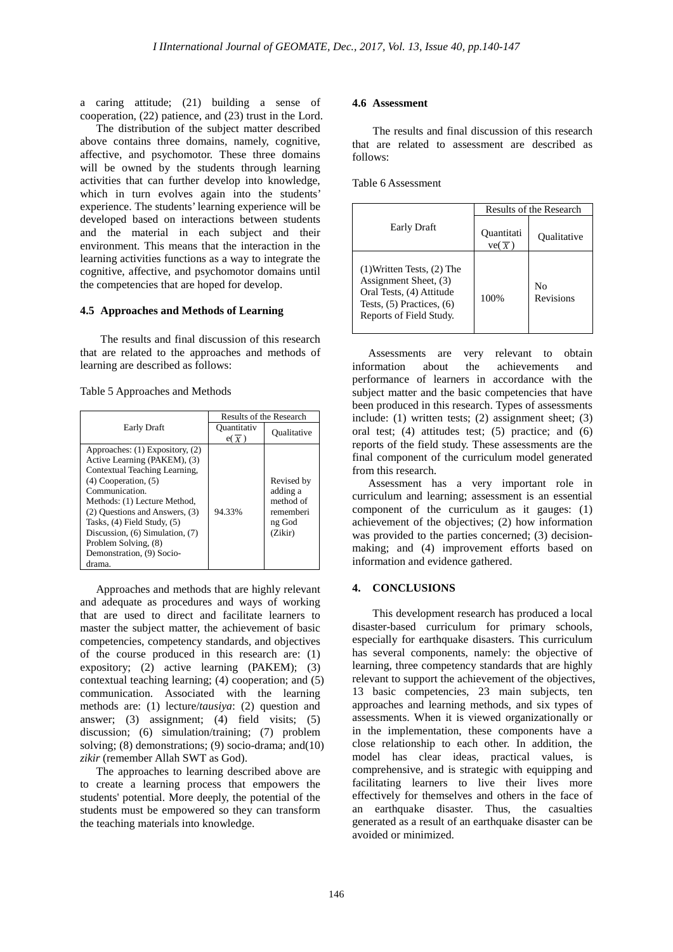a caring attitude; (21) building a sense of cooperation, (22) patience, and (23) trust in the Lord.

The distribution of the subject matter described above contains three domains, namely, cognitive, affective, and psychomotor. These three domains will be owned by the students through learning activities that can further develop into knowledge, which in turn evolves again into the students' experience. The students' learning experience will be developed based on interactions between students and the material in each subject and their environment. This means that the interaction in the learning activities functions as a way to integrate the cognitive, affective, and psychomotor domains until the competencies that are hoped for develop.

#### **4.5 Approaches and Methods of Learning**

The results and final discussion of this research that are related to the approaches and methods of learning are described as follows:

Table 5 Approaches and Methods

|                                                                                                                                                                                                                                                                                                                                                   | Results of the Research          |                                                                       |
|---------------------------------------------------------------------------------------------------------------------------------------------------------------------------------------------------------------------------------------------------------------------------------------------------------------------------------------------------|----------------------------------|-----------------------------------------------------------------------|
| Early Draft                                                                                                                                                                                                                                                                                                                                       | Quantitativ<br>$e(\overline{X})$ | Oualitative                                                           |
| Approaches: (1) Expository, (2)<br>Active Learning (PAKEM), (3)<br>Contextual Teaching Learning,<br>$(4)$ Cooperation, $(5)$<br>Communication.<br>Methods: (1) Lecture Method,<br>(2) Ouestions and Answers, (3)<br>Tasks, (4) Field Study, (5)<br>Discussion, (6) Simulation, (7)<br>Problem Solving, (8)<br>Demonstration, (9) Socio-<br>drama. | 94.33%                           | Revised by<br>adding a<br>method of<br>rememberi<br>ng God<br>(Zikir) |

Approaches and methods that are highly relevant and adequate as procedures and ways of working that are used to direct and facilitate learners to master the subject matter, the achievement of basic competencies, competency standards, and objectives of the course produced in this research are: (1) expository; (2) active learning (PAKEM); (3) contextual teaching learning; (4) cooperation; and (5) communication. Associated with the learning methods are: (1) lecture/*tausiya*: (2) question and answer; (3) assignment; (4) field visits; (5) discussion; (6) simulation/training; (7) problem solving; (8) demonstrations; (9) socio-drama; and(10) *zikir* (remember Allah SWT as God).

The approaches to learning described above are to create a learning process that empowers the students' potential. More deeply, the potential of the students must be empowered so they can transform the teaching materials into knowledge.

#### **4.6 Assessment**

The results and final discussion of this research that are related to assessment are described as follows:

Table 6 Assessment

|                                                                                                                                                 | Results of the Research    |                 |
|-------------------------------------------------------------------------------------------------------------------------------------------------|----------------------------|-----------------|
| <b>Early Draft</b>                                                                                                                              | <b>Ouantitati</b><br>ve(x) | Oualitative     |
| $(1)$ Written Tests, $(2)$ The<br>Assignment Sheet, (3)<br>Oral Tests, (4) Attitude<br>Tests, $(5)$ Practices, $(6)$<br>Reports of Field Study. | 100%                       | No<br>Revisions |

Assessments are very relevant to obtain information about the achievements and performance of learners in accordance with the subject matter and the basic competencies that have been produced in this research. Types of assessments include: (1) written tests; (2) assignment sheet; (3) oral test; (4) attitudes test; (5) practice; and (6) reports of the field study. These assessments are the final component of the curriculum model generated from this research.

Assessment has a very important role in curriculum and learning; assessment is an essential component of the curriculum as it gauges: (1) achievement of the objectives; (2) how information was provided to the parties concerned; (3) decisionmaking; and (4) improvement efforts based on information and evidence gathered.

## **4. CONCLUSIONS**

This development research has produced a local disaster-based curriculum for primary schools, especially for earthquake disasters. This curriculum has several components, namely: the objective of learning, three competency standards that are highly relevant to support the achievement of the objectives, 13 basic competencies, 23 main subjects, ten approaches and learning methods, and six types of assessments. When it is viewed organizationally or in the implementation, these components have a close relationship to each other. In addition, the model has clear ideas, practical values, is comprehensive, and is strategic with equipping and facilitating learners to live their lives more effectively for themselves and others in the face of an earthquake disaster. Thus, the casualties generated as a result of an earthquake disaster can be avoided or minimized.